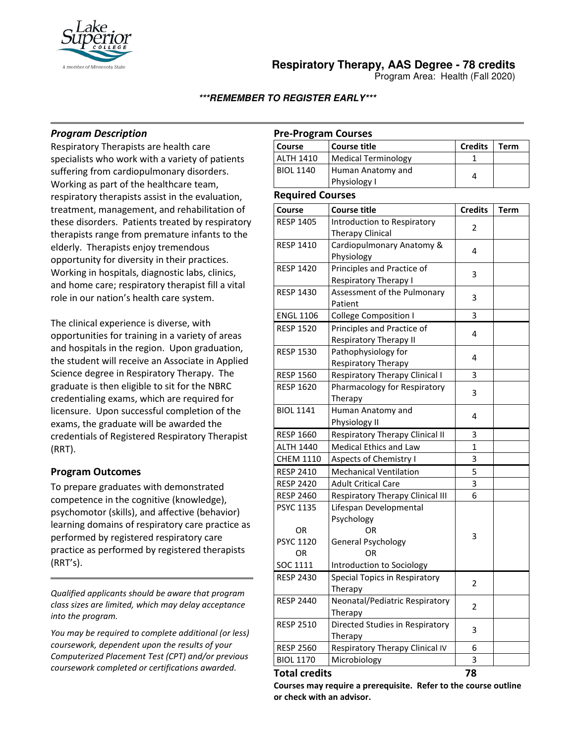

**Respiratory Therapy, AAS Degree - 78 credits**

Program Area: Health (Fall 2020)

**\*\*\*REMEMBER TO REGISTER EARLY\*\*\***

### *Program Description*

Respiratory Therapists are health care specialists who work with a variety of patients suffering from cardiopulmonary disorders. Working as part of the healthcare team, respiratory therapists assist in the evaluation, treatment, management, and rehabilitation of these disorders. Patients treated by respiratory therapists range from premature infants to the elderly. Therapists enjoy tremendous opportunity for diversity in their practices. Working in hospitals, diagnostic labs, clinics, and home care; respiratory therapist fill a vital role in our nation's health care system.

The clinical experience is diverse, with opportunities for training in a variety of areas and hospitals in the region. Upon graduation, the student will receive an Associate in Applied Science degree in Respiratory Therapy. The graduate is then eligible to sit for the NBRC credentialing exams, which are required for licensure. Upon successful completion of the exams, the graduate will be awarded the credentials of Registered Respiratory Therapist (RRT).

### **Program Outcomes**

To prepare graduates with demonstrated competence in the cognitive (knowledge), psychomotor (skills), and affective (behavior) learning domains of respiratory care practice as performed by registered respiratory care practice as performed by registered therapists (RRT's).

*Qualified applicants should be aware that program class sizes are limited, which may delay acceptance into the program.*

*You may be required to complete additional (or less) coursework, dependent upon the results of your Computerized Placement Test (CPT) and/or previous coursework completed or certifications awarded.*

## **Pre-Program Courses**

| Course           | Course title                      | <b>Credits</b> | Term |
|------------------|-----------------------------------|----------------|------|
| <b>ALTH 1410</b> | Medical Terminology               |                |      |
| <b>BIOL 1140</b> | Human Anatomy and<br>Physiology I |                |      |

#### **Required Courses**

| Required Courses |                                       |                |      |
|------------------|---------------------------------------|----------------|------|
| Course           | <b>Course title</b>                   | <b>Credits</b> | Term |
| <b>RESP 1405</b> | Introduction to Respiratory           | 2              |      |
|                  | Therapy Clinical                      |                |      |
| <b>RESP 1410</b> | Cardiopulmonary Anatomy &             | 4              |      |
|                  | Physiology                            |                |      |
| <b>RESP 1420</b> | Principles and Practice of            | 3              |      |
|                  | Respiratory Therapy I                 |                |      |
| <b>RESP 1430</b> | Assessment of the Pulmonary           | 3              |      |
|                  | Patient                               |                |      |
| <b>ENGL 1106</b> | <b>College Composition I</b>          | 3              |      |
| <b>RESP 1520</b> | Principles and Practice of            | 4              |      |
|                  | <b>Respiratory Therapy II</b>         |                |      |
| <b>RESP 1530</b> | Pathophysiology for                   | 4              |      |
|                  | Respiratory Therapy                   |                |      |
| <b>RESP 1560</b> | <b>Respiratory Therapy Clinical I</b> | 3              |      |
| <b>RESP 1620</b> | Pharmacology for Respiratory          | 3              |      |
|                  | Therapy                               |                |      |
| <b>BIOL 1141</b> | Human Anatomy and                     | 4              |      |
|                  | Physiology II                         |                |      |
| <b>RESP 1660</b> | Respiratory Therapy Clinical II       | 3              |      |
| <b>ALTH 1440</b> | Medical Ethics and Law                | 1              |      |
| <b>CHEM 1110</b> | <b>Aspects of Chemistry I</b>         | 3              |      |
| <b>RESP 2410</b> | <b>Mechanical Ventilation</b>         | 5              |      |
| <b>RESP 2420</b> | <b>Adult Critical Care</b>            | 3              |      |
| <b>RESP 2460</b> | Respiratory Therapy Clinical III      | 6              |      |
| <b>PSYC 1135</b> | Lifespan Developmental                |                |      |
|                  | Psychology                            |                |      |
| OR               | OR                                    | 3              |      |
| PSYC 1120        | General Psychology                    |                |      |
| OR               | OR                                    |                |      |
| SOC 1111         | Introduction to Sociology             |                |      |
| <b>RESP 2430</b> | Special Topics in Respiratory         | 2              |      |
|                  | Therapy                               |                |      |
| <b>RESP 2440</b> | Neonatal/Pediatric Respiratory        | 2              |      |
|                  | Therapy                               |                |      |
| <b>RESP 2510</b> | Directed Studies in Respiratory       | 3              |      |
|                  | Therapy                               |                |      |
| <b>RESP 2560</b> | Respiratory Therapy Clinical IV       | 6              |      |
| <b>BIOL 1170</b> | Microbiology                          | 3              |      |
| Total credits    |                                       | 78             |      |

**Courses may require a prerequisite. Refer to the course outline or check with an advisor.**